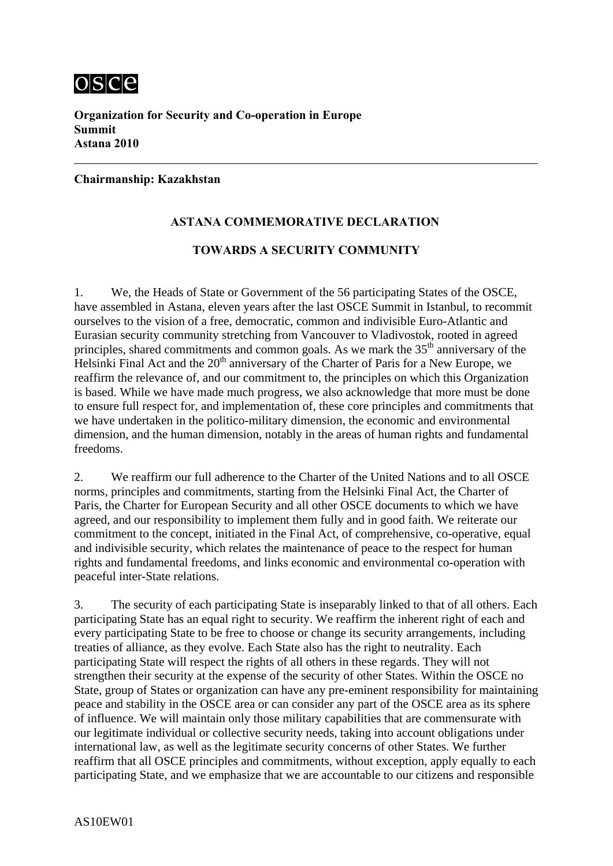

**Organization for Security and Co-operation in Europe Summit Astana 2010**

## **Chairmanship: Kazakhstan**

## **ASTANA COMMEMORATIVE DECLARATION**

## **TOWARDS A SECURITY COMMUNITY**

1. We, the Heads of State or Government of the 56 participating States of the OSCE, have assembled in Astana, eleven years after the last OSCE Summit in Istanbul, to recommit ourselves to the vision of a free, democratic, common and indivisible Euro-Atlantic and Eurasian security community stretching from Vancouver to Vladivostok, rooted in agreed principles, shared commitments and common goals. As we mark the  $35<sup>th</sup>$  anniversary of the Helsinki Final Act and the  $20<sup>th</sup>$  anniversary of the Charter of Paris for a New Europe, we reaffirm the relevance of, and our commitment to, the principles on which this Organization is based. While we have made much progress, we also acknowledge that more must be done to ensure full respect for, and implementation of, these core principles and commitments that we have undertaken in the politico-military dimension, the economic and environmental dimension, and the human dimension, notably in the areas of human rights and fundamental freedoms.

2. We reaffirm our full adherence to the Charter of the United Nations and to all OSCE norms, principles and commitments, starting from the Helsinki Final Act, the Charter of Paris, the Charter for European Security and all other OSCE documents to which we have agreed, and our responsibility to implement them fully and in good faith. We reiterate our commitment to the concept, initiated in the Final Act, of comprehensive, co-operative, equal and indivisible security, which relates the maintenance of peace to the respect for human rights and fundamental freedoms, and links economic and environmental co-operation with peaceful inter-State relations.

3. The security of each participating State is inseparably linked to that of all others. Each participating State has an equal right to security. We reaffirm the inherent right of each and every participating State to be free to choose or change its security arrangements, including treaties of alliance, as they evolve. Each State also has the right to neutrality. Each participating State will respect the rights of all others in these regards. They will not strengthen their security at the expense of the security of other States. Within the OSCE no State, group of States or organization can have any pre-eminent responsibility for maintaining peace and stability in the OSCE area or can consider any part of the OSCE area as its sphere of influence. We will maintain only those military capabilities that are commensurate with our legitimate individual or collective security needs, taking into account obligations under international law, as well as the legitimate security concerns of other States. We further reaffirm that all OSCE principles and commitments, without exception, apply equally to each participating State, and we emphasize that we are accountable to our citizens and responsible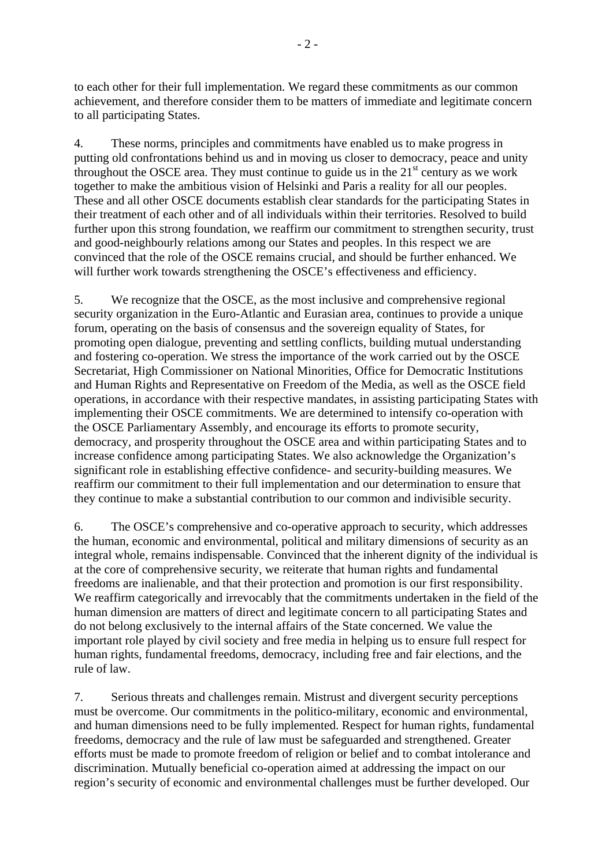to each other for their full implementation. We regard these commitments as our common achievement, and therefore consider them to be matters of immediate and legitimate concern to all participating States.

4. These norms, principles and commitments have enabled us to make progress in putting old confrontations behind us and in moving us closer to democracy, peace and unity throughout the OSCE area. They must continue to guide us in the  $21<sup>st</sup>$  century as we work together to make the ambitious vision of Helsinki and Paris a reality for all our peoples. These and all other OSCE documents establish clear standards for the participating States in their treatment of each other and of all individuals within their territories. Resolved to build further upon this strong foundation, we reaffirm our commitment to strengthen security, trust and good-neighbourly relations among our States and peoples. In this respect we are convinced that the role of the OSCE remains crucial, and should be further enhanced. We will further work towards strengthening the OSCE's effectiveness and efficiency.

5. We recognize that the OSCE, as the most inclusive and comprehensive regional security organization in the Euro-Atlantic and Eurasian area, continues to provide a unique forum, operating on the basis of consensus and the sovereign equality of States, for promoting open dialogue, preventing and settling conflicts, building mutual understanding and fostering co-operation. We stress the importance of the work carried out by the OSCE Secretariat, High Commissioner on National Minorities, Office for Democratic Institutions and Human Rights and Representative on Freedom of the Media, as well as the OSCE field operations, in accordance with their respective mandates, in assisting participating States with implementing their OSCE commitments. We are determined to intensify co-operation with the OSCE Parliamentary Assembly, and encourage its efforts to promote security, democracy, and prosperity throughout the OSCE area and within participating States and to increase confidence among participating States. We also acknowledge the Organization's significant role in establishing effective confidence- and security-building measures. We reaffirm our commitment to their full implementation and our determination to ensure that they continue to make a substantial contribution to our common and indivisible security.

6. The OSCE's comprehensive and co-operative approach to security, which addresses the human, economic and environmental, political and military dimensions of security as an integral whole, remains indispensable. Convinced that the inherent dignity of the individual is at the core of comprehensive security, we reiterate that human rights and fundamental freedoms are inalienable, and that their protection and promotion is our first responsibility. We reaffirm categorically and irrevocably that the commitments undertaken in the field of the human dimension are matters of direct and legitimate concern to all participating States and do not belong exclusively to the internal affairs of the State concerned. We value the important role played by civil society and free media in helping us to ensure full respect for human rights, fundamental freedoms, democracy, including free and fair elections, and the rule of law.

7. Serious threats and challenges remain. Mistrust and divergent security perceptions must be overcome. Our commitments in the politico-military, economic and environmental, and human dimensions need to be fully implemented. Respect for human rights, fundamental freedoms, democracy and the rule of law must be safeguarded and strengthened. Greater efforts must be made to promote freedom of religion or belief and to combat intolerance and discrimination. Mutually beneficial co-operation aimed at addressing the impact on our region's security of economic and environmental challenges must be further developed. Our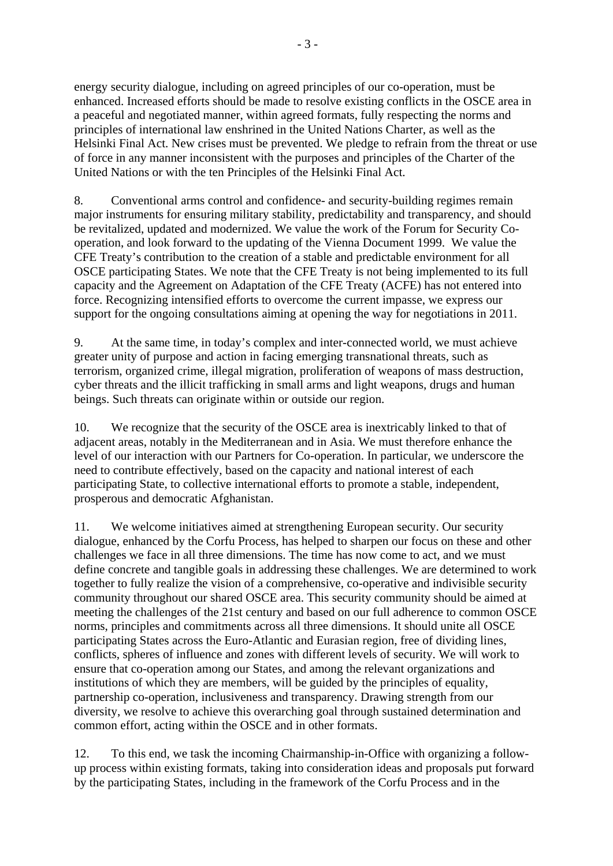energy security dialogue, including on agreed principles of our co-operation, must be enhanced. Increased efforts should be made to resolve existing conflicts in the OSCE area in a peaceful and negotiated manner, within agreed formats, fully respecting the norms and principles of international law enshrined in the United Nations Charter, as well as the Helsinki Final Act. New crises must be prevented. We pledge to refrain from the threat or use of force in any manner inconsistent with the purposes and principles of the Charter of the United Nations or with the ten Principles of the Helsinki Final Act.

8. Conventional arms control and confidence- and security-building regimes remain major instruments for ensuring military stability, predictability and transparency, and should be revitalized, updated and modernized. We value the work of the Forum for Security Cooperation, and look forward to the updating of the Vienna Document 1999. We value the CFE Treaty's contribution to the creation of a stable and predictable environment for all OSCE participating States. We note that the CFE Treaty is not being implemented to its full capacity and the Agreement on Adaptation of the CFE Treaty (ACFE) has not entered into force. Recognizing intensified efforts to overcome the current impasse, we express our support for the ongoing consultations aiming at opening the way for negotiations in 2011.

9. At the same time, in today's complex and inter-connected world, we must achieve greater unity of purpose and action in facing emerging transnational threats, such as terrorism, organized crime, illegal migration, proliferation of weapons of mass destruction, cyber threats and the illicit trafficking in small arms and light weapons, drugs and human beings. Such threats can originate within or outside our region.

10. We recognize that the security of the OSCE area is inextricably linked to that of adjacent areas, notably in the Mediterranean and in Asia. We must therefore enhance the level of our interaction with our Partners for Co-operation. In particular, we underscore the need to contribute effectively, based on the capacity and national interest of each participating State, to collective international efforts to promote a stable, independent, prosperous and democratic Afghanistan.

11. We welcome initiatives aimed at strengthening European security. Our security dialogue, enhanced by the Corfu Process, has helped to sharpen our focus on these and other challenges we face in all three dimensions. The time has now come to act, and we must define concrete and tangible goals in addressing these challenges. We are determined to work together to fully realize the vision of a comprehensive, co-operative and indivisible security community throughout our shared OSCE area. This security community should be aimed at meeting the challenges of the 21st century and based on our full adherence to common OSCE norms, principles and commitments across all three dimensions. It should unite all OSCE participating States across the Euro-Atlantic and Eurasian region, free of dividing lines, conflicts, spheres of influence and zones with different levels of security. We will work to ensure that co-operation among our States, and among the relevant organizations and institutions of which they are members, will be guided by the principles of equality, partnership co-operation, inclusiveness and transparency. Drawing strength from our diversity, we resolve to achieve this overarching goal through sustained determination and common effort, acting within the OSCE and in other formats.

12. To this end, we task the incoming Chairmanship-in-Office with organizing a followup process within existing formats, taking into consideration ideas and proposals put forward by the participating States, including in the framework of the Corfu Process and in the